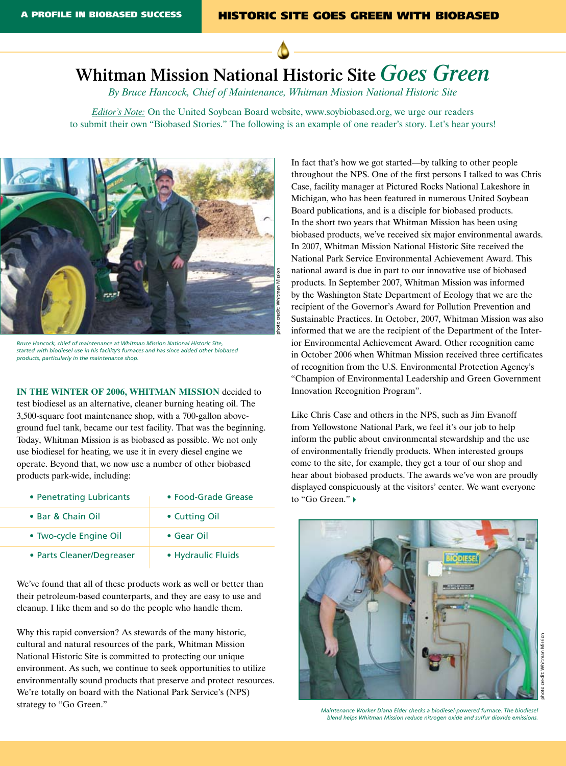## **Whitman Mission National Historic Site** *Goes Green*

*By Bruce Hancock, Chief of Maintenance, Whitman Mission National Historic Site* 

*Editor's Note:* On the United Soybean Board website, www.soybiobased.org, we urge our readers to submit their own "Biobased Stories." The following is an example of one reader's story. Let's hear yours!



*Bruce Hancock, chief of maintenance at Whitman Mission National Historic Site, started with biodiesel use in his facility's furnaces and has since added other biobased products, particularly in the maintenance shop.* 

**In the winter of 2006, Whitman Mission** decided to test biodiesel as an alternative, cleaner burning heating oil. The 3,500-square foot maintenance shop, with a 700-gallon aboveground fuel tank, became our test facility. That was the beginning. Today, Whitman Mission is as biobased as possible. We not only use biodiesel for heating, we use it in every diesel engine we operate. Beyond that, we now use a number of other biobased products park-wide, including:

| • Penetrating Lubricants  | • Food-Grade Grease |
|---------------------------|---------------------|
| • Bar & Chain Oil         | • Cutting Oil       |
| • Two-cycle Engine Oil    | $\bullet$ Gear Oil  |
| • Parts Cleaner/Degreaser | • Hydraulic Fluids  |

We've found that all of these products work as well or better than their petroleum-based counterparts, and they are easy to use and cleanup. I like them and so do the people who handle them.

Why this rapid conversion? As stewards of the many historic, cultural and natural resources of the park, Whitman Mission National Historic Site is committed to protecting our unique environment. As such, we continue to seek opportunities to utilize environmentally sound products that preserve and protect resources. We're totally on board with the National Park Service's (NPS) strategy to "Go Green."

In fact that's how we got started—by talking to other people throughout the NPS. One of the first persons I talked to was Chris Case, facility manager at Pictured Rocks National Lakeshore in Michigan, who has been featured in numerous United Soybean Board publications, and is a disciple for biobased products. In the short two years that Whitman Mission has been using biobased products, we've received six major environmental awards. In 2007, Whitman Mission National Historic Site received the National Park Service Environmental Achievement Award. This national award is due in part to our innovative use of biobased products. In September 2007, Whitman Mission was informed by the Washington State Department of Ecology that we are the recipient of the Governor's Award for Pollution Prevention and Sustainable Practices. In October, 2007, Whitman Mission was also informed that we are the recipient of the Department of the Interior Environmental Achievement Award. Other recognition came in October 2006 when Whitman Mission received three certificates of recognition from the U.S. Environmental Protection Agency's "Champion of Environmental Leadership and Green Government Innovation Recognition Program".

Like Chris Case and others in the NPS, such as Jim Evanoff from Yellowstone National Park, we feel it's our job to help inform the public about environmental stewardship and the use of environmentally friendly products. When interested groups come to the site, for example, they get a tour of our shop and hear about biobased products. The awards we've won are proudly displayed conspicuously at the visitors' center. We want everyone to "Go Green." 4



*Maintenance Worker Diana Elder checks a biodiesel-powered furnace. The biodiesel blend helps Whitman Mission reduce nitrogen oxide and sulfur dioxide emissions.*